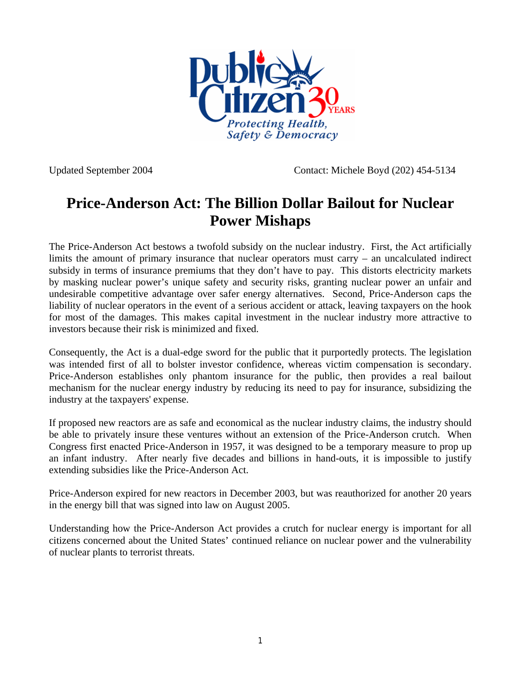

Updated September 2004 Contact: Michele Boyd (202) 454-5134

## **Price-Anderson Act: The Billion Dollar Bailout for Nuclear Power Mishaps**

The Price-Anderson Act bestows a twofold subsidy on the nuclear industry. First, the Act artificially limits the amount of primary insurance that nuclear operators must carry – an uncalculated indirect subsidy in terms of insurance premiums that they don't have to pay. This distorts electricity markets by masking nuclear power's unique safety and security risks, granting nuclear power an unfair and undesirable competitive advantage over safer energy alternatives. Second, Price-Anderson caps the liability of nuclear operators in the event of a serious accident or attack, leaving taxpayers on the hook for most of the damages. This makes capital investment in the nuclear industry more attractive to investors because their risk is minimized and fixed.

Consequently, the Act is a dual-edge sword for the public that it purportedly protects. The legislation was intended first of all to bolster investor confidence, whereas victim compensation is secondary. Price-Anderson establishes only phantom insurance for the public, then provides a real bailout mechanism for the nuclear energy industry by reducing its need to pay for insurance, subsidizing the industry at the taxpayers' expense.

If proposed new reactors are as safe and economical as the nuclear industry claims, the industry should be able to privately insure these ventures without an extension of the Price-Anderson crutch. When Congress first enacted Price-Anderson in 1957, it was designed to be a temporary measure to prop up an infant industry. After nearly five decades and billions in hand-outs, it is impossible to justify extending subsidies like the Price-Anderson Act.

Price-Anderson expired for new reactors in December 2003, but was reauthorized for another 20 years in the energy bill that was signed into law on August 2005.

Understanding how the Price-Anderson Act provides a crutch for nuclear energy is important for all citizens concerned about the United States' continued reliance on nuclear power and the vulnerability of nuclear plants to terrorist threats.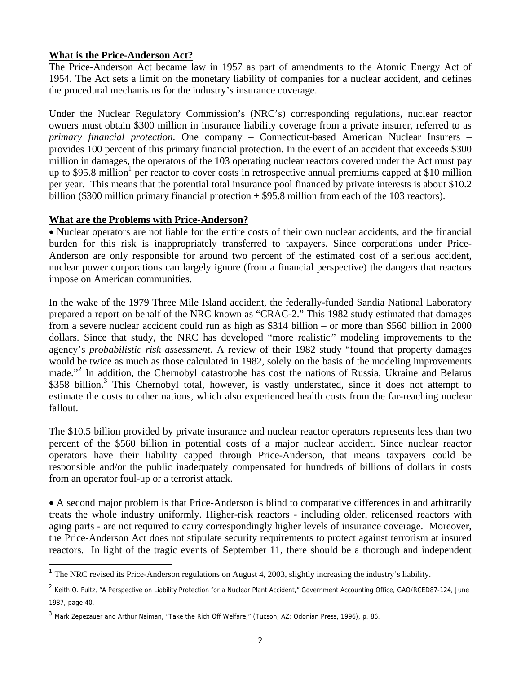## <sup>U</sup>**What is the Price-Anderson Act?**

The Price-Anderson Act became law in 1957 as part of amendments to the Atomic Energy Act of 1954. The Act sets a limit on the monetary liability of companies for a nuclear accident, and defines the procedural mechanisms for the industry's insurance coverage.

Under the Nuclear Regulatory Commission's (NRC's) corresponding regulations, nuclear reactor owners must obtain \$300 million in insurance liability coverage from a private insurer, referred to as *primary financial protection*. One company – Connecticut-based American Nuclear Insurers – provides 100 percent of this primary financial protection. In the event of an accident that exceeds \$300 million in damages, the operators of the 103 operating nuclear reactors covered under the Act must pay up to \$95.8 million<sup>[1](#page-1-0)</sup> per reactor to cover costs in retrospective annual premiums capped at \$10 million per year. This means that the potential total insurance pool financed by private interests is about \$10.2 billion (\$300 million primary financial protection + \$95.8 million from each of the 103 reactors).

## <sup>U</sup>**What are the Problems with Price-Anderson?**<sup>U</sup>

l

• Nuclear operators are not liable for the entire costs of their own nuclear accidents, and the financial burden for this risk is inappropriately transferred to taxpayers. Since corporations under Price-Anderson are only responsible for around two percent of the estimated cost of a serious accident, nuclear power corporations can largely ignore (from a financial perspective) the dangers that reactors impose on American communities.

In the wake of the 1979 Three Mile Island accident, the federally-funded Sandia National Laboratory prepared a report on behalf of the NRC known as "CRAC-2." This 1982 study estimated that damages from a severe nuclear accident could run as high as \$314 billion – or more than \$560 billion in 2000 dollars. Since that study, the NRC has developed "more realistic*"* modeling improvements to the agency's *probabilistic risk assessment*. A review of their 1982 study "found that property damages would be twice as much as those calculated in 1982, solely on the basis of the modeling improvements made."<sup>[2](#page-1-1)</sup> In addition, the Chernobyl catastrophe has cost the nations of Russia, Ukraine and Belarus \$[3](#page-1-2)58 billion.<sup>3</sup> This Chernobyl total, however, is vastly understated, since it does not attempt to estimate the costs to other nations, which also experienced health costs from the far-reaching nuclear fallout.

The \$10.5 billion provided by private insurance and nuclear reactor operators represents less than two percent of the \$560 billion in potential costs of a major nuclear accident. Since nuclear reactor operators have their liability capped through Price-Anderson, that means taxpayers could be responsible and/or the public inadequately compensated for hundreds of billions of dollars in costs from an operator foul-up or a terrorist attack.

• A second major problem is that Price-Anderson is blind to comparative differences in and arbitrarily treats the whole industry uniformly. Higher-risk reactors - including older, relicensed reactors with aging parts - are not required to carry correspondingly higher levels of insurance coverage. Moreover, the Price-Anderson Act does not stipulate security requirements to protect against terrorism at insured reactors. In light of the tragic events of September 11, there should be a thorough and independent

<span id="page-1-0"></span><sup>&</sup>lt;sup>1</sup> The NRC revised its Price-Anderson regulations on August 4, 2003, slightly increasing the industry's liability.

<span id="page-1-1"></span><sup>&</sup>lt;sup>2</sup> Keith O. Fultz, "A Perspective on Liability Protection for a Nuclear Plant Accident," Government Accounting Office, GAO/RCED87-124, June 1987, page 40.

<span id="page-1-2"></span> $^3$  Mark Zepezauer and Arthur Naiman, "Take the Rich Off Welfare," (Tucson, AZ: Odonian Press, 1996), p. 86.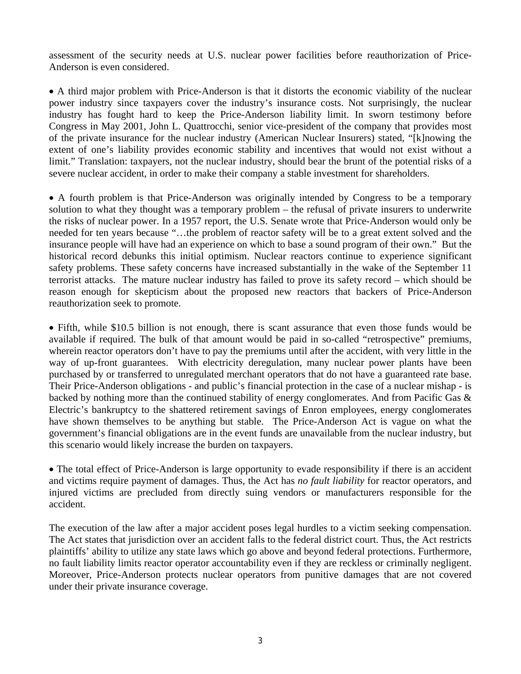assessment of the security needs at U.S. nuclear power facilities before reauthorization of Price-Anderson is even considered.

• A third major problem with Price-Anderson is that it distorts the economic viability of the nuclear power industry since taxpayers cover the industry's insurance costs. Not surprisingly, the nuclear industry has fought hard to keep the Price-Anderson liability limit. In sworn testimony before Congress in May 2001, John L. Quattrocchi, senior vice-president of the company that provides most of the private insurance for the nuclear industry (American Nuclear Insurers) stated, "[k]nowing the extent of one's liability provides economic stability and incentives that would not exist without a limit." Translation: taxpayers, not the nuclear industry, should bear the brunt of the potential risks of a severe nuclear accident, in order to make their company a stable investment for shareholders.

• A fourth problem is that Price-Anderson was originally intended by Congress to be a temporary solution to what they thought was a temporary problem – the refusal of private insurers to underwrite the risks of nuclear power. In a 1957 report, the U.S. Senate wrote that Price-Anderson would only be needed for ten years because "…the problem of reactor safety will be to a great extent solved and the insurance people will have had an experience on which to base a sound program of their own." But the historical record debunks this initial optimism. Nuclear reactors continue to experience significant safety problems. These safety concerns have increased substantially in the wake of the September 11 terrorist attacks. The mature nuclear industry has failed to prove its safety record – which should be reason enough for skepticism about the proposed new reactors that backers of Price-Anderson reauthorization seek to promote.

• Fifth, while \$10.5 billion is not enough, there is scant assurance that even those funds would be available if required. The bulk of that amount would be paid in so-called "retrospective" premiums, wherein reactor operators don't have to pay the premiums until after the accident, with very little in the way of up-front guarantees. With electricity deregulation, many nuclear power plants have been purchased by or transferred to unregulated merchant operators that do not have a guaranteed rate base. Their Price-Anderson obligations - and public's financial protection in the case of a nuclear mishap - is backed by nothing more than the continued stability of energy conglomerates. And from Pacific Gas & Electric's bankruptcy to the shattered retirement savings of Enron employees, energy conglomerates have shown themselves to be anything but stable. The Price-Anderson Act is vague on what the government's financial obligations are in the event funds are unavailable from the nuclear industry, but this scenario would likely increase the burden on taxpayers.

• The total effect of Price-Anderson is large opportunity to evade responsibility if there is an accident and victims require payment of damages. Thus, the Act has *no fault liability* for reactor operators, and injured victims are precluded from directly suing vendors or manufacturers responsible for the accident.

The execution of the law after a major accident poses legal hurdles to a victim seeking compensation. The Act states that jurisdiction over an accident falls to the federal district court. Thus, the Act restricts plaintiffs' ability to utilize any state laws which go above and beyond federal protections. Furthermore, no fault liability limits reactor operator accountability even if they are reckless or criminally negligent. Moreover, Price-Anderson protects nuclear operators from punitive damages that are not covered under their private insurance coverage.